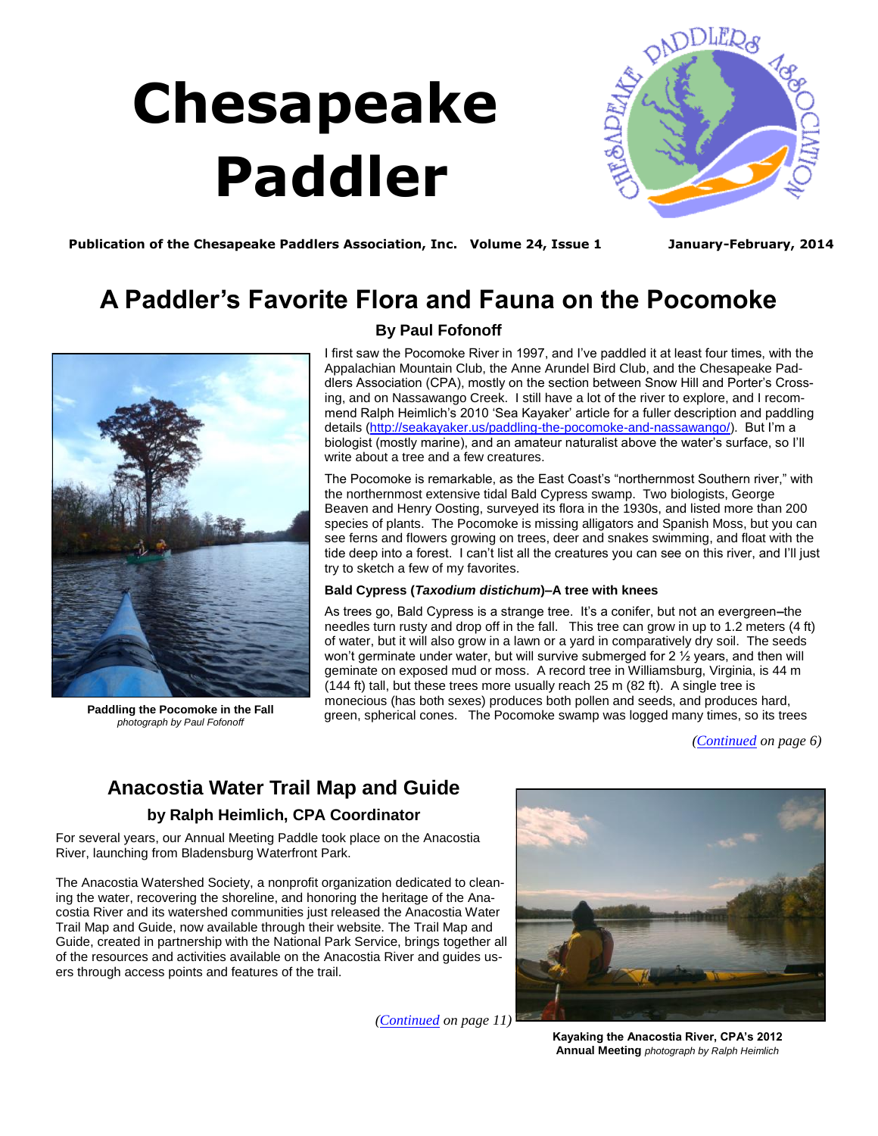# **Chesapeake Paddler**

<span id="page-0-0"></span>

Publication of the Chesapeake Paddlers Association, Inc. Volume 24, Issue 1 January-February, 2014

# **A Paddler's Favorite Flora and Fauna on the Pocomoke**



**Paddling the Pocomoke in the Fall**  *photograph by Paul Fofonoff*

# **By Paul Fofonoff**

I first saw the Pocomoke River in 1997, and I've paddled it at least four times, with the Appalachian Mountain Club, the Anne Arundel Bird Club, and the Chesapeake Paddlers Association (CPA), mostly on the section between Snow Hill and Porter's Crossing, and on Nassawango Creek. I still have a lot of the river to explore, and I recommend Ralph Heimlich's 2010 'Sea Kayaker' article for a fuller description and paddling details [\(http://seakayaker.us/paddling-the-pocomoke-and-nassawango/\)](http://seakayaker.us/paddling-the-pocomoke-and-nassawango/). But I'm a biologist (mostly marine), and an amateur naturalist above the water's surface, so I'll write about a tree and a few creatures.

The Pocomoke is remarkable, as the East Coast's "northernmost Southern river," with the northernmost extensive tidal Bald Cypress swamp. Two biologists, George Beaven and Henry Oosting, surveyed its flora in the 1930s, and listed more than 200 species of plants. The Pocomoke is missing alligators and Spanish Moss, but you can see ferns and flowers growing on trees, deer and snakes swimming, and float with the tide deep into a forest. I can't list all the creatures you can see on this river, and I'll just try to sketch a few of my favorites.

## **Bald Cypress (***Taxodium distichum***)–A tree with knees**

As trees go, Bald Cypress is a strange tree. It's a conifer, but not an evergreen**–**the needles turn rusty and drop off in the fall. This tree can grow in up to 1.2 meters (4 ft) of water, but it will also grow in a lawn or a yard in comparatively dry soil. The seeds won't germinate under water, but will survive submerged for 2 1/2 years, and then will geminate on exposed mud or moss. A record tree in Williamsburg, Virginia, is 44 m (144 ft) tall, but these trees more usually reach 25 m (82 ft). A single tree is monecious (has both sexes) produces both pollen and seeds, and produces hard, green, spherical cones. The Pocomoke swamp was logged many times, so its trees

*[\(Continued](#page-1-0) on page 6)*

# **Anacostia Water Trail Map and Guide**

# **by Ralph Heimlich, CPA Coordinator**

For several years, our Annual Meeting Paddle took place on the Anacostia River, launching from Bladensburg Waterfront Park.

The Anacostia Watershed Society, a nonprofit organization dedicated to cleaning the water, recovering the shoreline, and honoring the heritage of the Anacostia River and its watershed communities just released the Anacostia Water Trail Map and Guide, now available through their website. The Trail Map and Guide, created in partnership with the National Park Service, brings together all of the resources and activities available on the Anacostia River and guides users through access points and features of the trail.

*(Continued on page 11)*



**Kayaking the Anacostia River, CPA's 2012 Annual Meeting** *photograph by Ralph Heimlich*